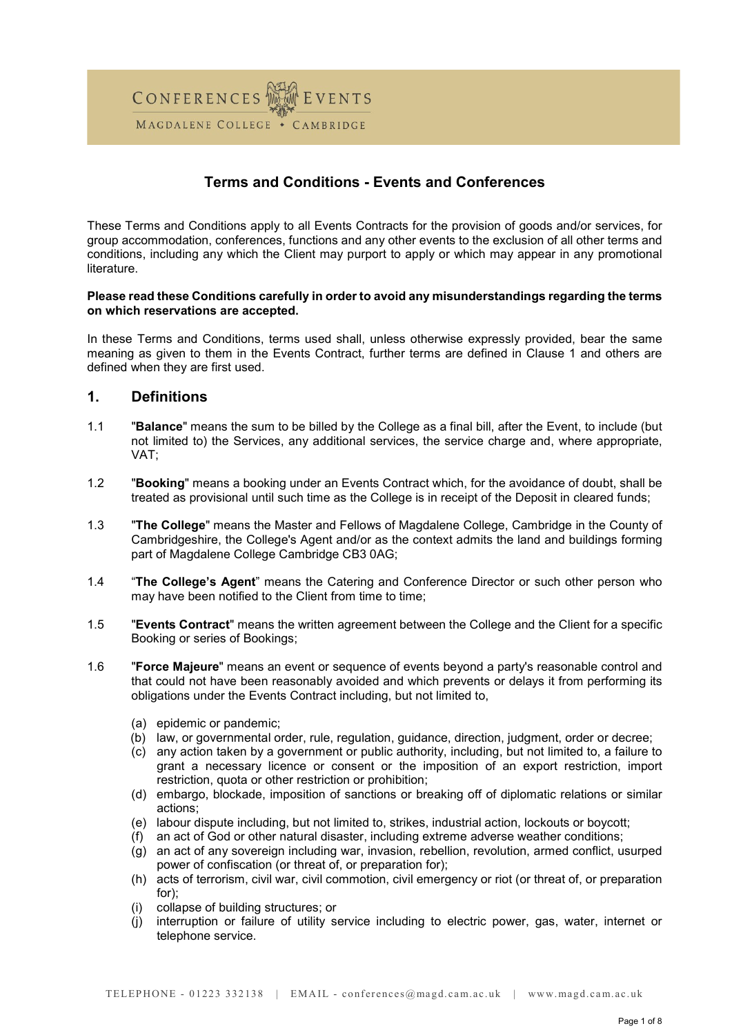

# Terms and Conditions - Events and Conferences

These Terms and Conditions apply to all Events Contracts for the provision of goods and/or services, for group accommodation, conferences, functions and any other events to the exclusion of all other terms and conditions, including any which the Client may purport to apply or which may appear in any promotional literature.

#### Please read these Conditions carefully in order to avoid any misunderstandings regarding the terms on which reservations are accepted.

In these Terms and Conditions, terms used shall, unless otherwise expressly provided, bear the same meaning as given to them in the Events Contract, further terms are defined in Clause 1 and others are defined when they are first used.

## 1. Definitions

- 1.1 "Balance" means the sum to be billed by the College as a final bill, after the Event, to include (but not limited to) the Services, any additional services, the service charge and, where appropriate, VAT;
- 1.2 "Booking" means a booking under an Events Contract which, for the avoidance of doubt, shall be treated as provisional until such time as the College is in receipt of the Deposit in cleared funds;
- 1.3 "The College" means the Master and Fellows of Magdalene College, Cambridge in the County of Cambridgeshire, the College's Agent and/or as the context admits the land and buildings forming part of Magdalene College Cambridge CB3 0AG;
- 1.4 "The College's Agent" means the Catering and Conference Director or such other person who may have been notified to the Client from time to time;
- 1.5 "Events Contract" means the written agreement between the College and the Client for a specific Booking or series of Bookings;
- 1.6 "Force Majeure" means an event or sequence of events beyond a party's reasonable control and that could not have been reasonably avoided and which prevents or delays it from performing its obligations under the Events Contract including, but not limited to,
	- (a) epidemic or pandemic;
	- (b) law, or governmental order, rule, regulation, guidance, direction, judgment, order or decree;
	- (c) any action taken by a government or public authority, including, but not limited to, a failure to grant a necessary licence or consent or the imposition of an export restriction, import restriction, quota or other restriction or prohibition;
	- (d) embargo, blockade, imposition of sanctions or breaking off of diplomatic relations or similar actions;
	- (e) labour dispute including, but not limited to, strikes, industrial action, lockouts or boycott;
	- (f) an act of God or other natural disaster, including extreme adverse weather conditions;
	- (g) an act of any sovereign including war, invasion, rebellion, revolution, armed conflict, usurped power of confiscation (or threat of, or preparation for);
	- (h) acts of terrorism, civil war, civil commotion, civil emergency or riot (or threat of, or preparation for);
	- (i) collapse of building structures; or
	- (j) interruption or failure of utility service including to electric power, gas, water, internet or telephone service.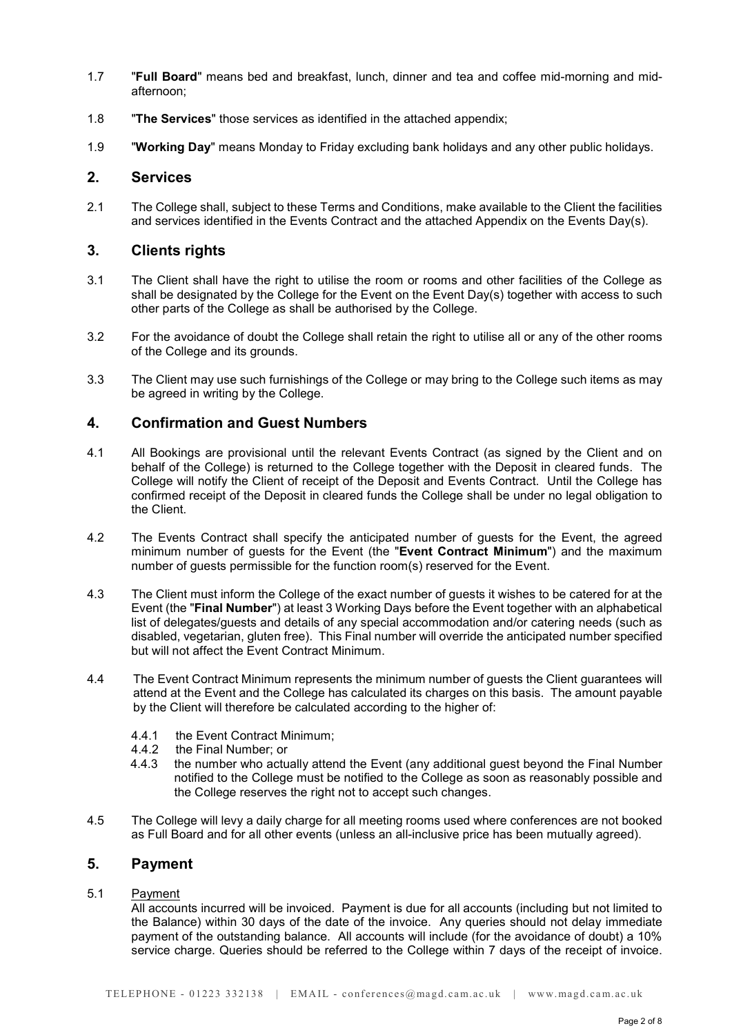- 1.7 **"Full Board"** means bed and breakfast, lunch, dinner and tea and coffee mid-morning and midafternoon;
- 1.8 "The Services" those services as identified in the attached appendix;
- 1.9 "Working Day" means Monday to Friday excluding bank holidays and any other public holidays.

### 2. Services

2.1 The College shall, subject to these Terms and Conditions, make available to the Client the facilities and services identified in the Events Contract and the attached Appendix on the Events Day(s).

### 3. Clients rights

- 3.1 The Client shall have the right to utilise the room or rooms and other facilities of the College as shall be designated by the College for the Event on the Event Day(s) together with access to such other parts of the College as shall be authorised by the College.
- 3.2 For the avoidance of doubt the College shall retain the right to utilise all or any of the other rooms of the College and its grounds.
- 3.3 The Client may use such furnishings of the College or may bring to the College such items as may be agreed in writing by the College.

## 4. Confirmation and Guest Numbers

- 4.1 All Bookings are provisional until the relevant Events Contract (as signed by the Client and on behalf of the College) is returned to the College together with the Deposit in cleared funds. The College will notify the Client of receipt of the Deposit and Events Contract. Until the College has confirmed receipt of the Deposit in cleared funds the College shall be under no legal obligation to the Client.
- 4.2 The Events Contract shall specify the anticipated number of guests for the Event, the agreed minimum number of guests for the Event (the "Event Contract Minimum") and the maximum number of guests permissible for the function room(s) reserved for the Event.
- 4.3 The Client must inform the College of the exact number of guests it wishes to be catered for at the Event (the "Final Number") at least 3 Working Days before the Event together with an alphabetical list of delegates/guests and details of any special accommodation and/or catering needs (such as disabled, vegetarian, gluten free). This Final number will override the anticipated number specified but will not affect the Event Contract Minimum.
- 4.4 The Event Contract Minimum represents the minimum number of guests the Client guarantees will attend at the Event and the College has calculated its charges on this basis. The amount payable by the Client will therefore be calculated according to the higher of:
	- 4.4.1 the Event Contract Minimum;<br>4.4.2 the Final Number: or
	- the Final Number; or
	- 4.4.3 the number who actually attend the Event (any additional guest beyond the Final Number notified to the College must be notified to the College as soon as reasonably possible and the College reserves the right not to accept such changes.
- 4.5 The College will levy a daily charge for all meeting rooms used where conferences are not booked as Full Board and for all other events (unless an all-inclusive price has been mutually agreed).

## 5. Payment

## 5.1 Payment

 All accounts incurred will be invoiced. Payment is due for all accounts (including but not limited to the Balance) within 30 days of the date of the invoice. Any queries should not delay immediate payment of the outstanding balance. All accounts will include (for the avoidance of doubt) a 10% service charge. Queries should be referred to the College within 7 days of the receipt of invoice.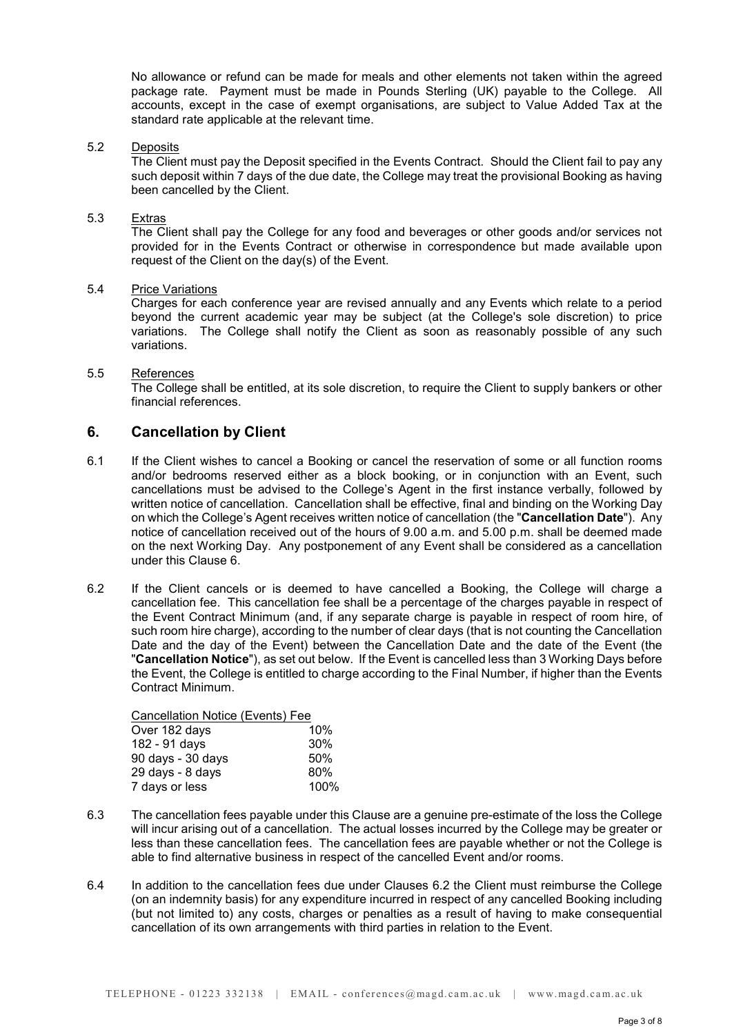No allowance or refund can be made for meals and other elements not taken within the agreed package rate. Payment must be made in Pounds Sterling (UK) payable to the College. All accounts, except in the case of exempt organisations, are subject to Value Added Tax at the standard rate applicable at the relevant time.

#### 5.2 Deposits

 The Client must pay the Deposit specified in the Events Contract. Should the Client fail to pay any such deposit within 7 days of the due date, the College may treat the provisional Booking as having been cancelled by the Client.

### 5.3 Extras

 The Client shall pay the College for any food and beverages or other goods and/or services not provided for in the Events Contract or otherwise in correspondence but made available upon request of the Client on the day(s) of the Event.

### 5.4 Price Variations

 Charges for each conference year are revised annually and any Events which relate to a period beyond the current academic year may be subject (at the College's sole discretion) to price variations. The College shall notify the Client as soon as reasonably possible of any such variations.

### 5.5 References

The College shall be entitled, at its sole discretion, to require the Client to supply bankers or other financial references.

## 6. Cancellation by Client

- 6.1 If the Client wishes to cancel a Booking or cancel the reservation of some or all function rooms and/or bedrooms reserved either as a block booking, or in conjunction with an Event, such cancellations must be advised to the College's Agent in the first instance verbally, followed by written notice of cancellation. Cancellation shall be effective, final and binding on the Working Day on which the College's Agent receives written notice of cancellation (the "Cancellation Date"). Any notice of cancellation received out of the hours of 9.00 a.m. and 5.00 p.m. shall be deemed made on the next Working Day. Any postponement of any Event shall be considered as a cancellation under this Clause 6.
- 6.2 If the Client cancels or is deemed to have cancelled a Booking, the College will charge a cancellation fee. This cancellation fee shall be a percentage of the charges payable in respect of the Event Contract Minimum (and, if any separate charge is payable in respect of room hire, of such room hire charge), according to the number of clear days (that is not counting the Cancellation Date and the day of the Event) between the Cancellation Date and the date of the Event (the "Cancellation Notice"), as set out below. If the Event is cancelled less than 3 Working Days before the Event, the College is entitled to charge according to the Final Number, if higher than the Events Contract Minimum.

Cancellation Notice (Events) Fee

| 10%  |
|------|
| 30%  |
| 50%  |
| 80%  |
| 100% |
|      |

- 6.3 The cancellation fees payable under this Clause are a genuine pre-estimate of the loss the College will incur arising out of a cancellation. The actual losses incurred by the College may be greater or less than these cancellation fees. The cancellation fees are payable whether or not the College is able to find alternative business in respect of the cancelled Event and/or rooms.
- 6.4 In addition to the cancellation fees due under Clauses 6.2 the Client must reimburse the College (on an indemnity basis) for any expenditure incurred in respect of any cancelled Booking including (but not limited to) any costs, charges or penalties as a result of having to make consequential cancellation of its own arrangements with third parties in relation to the Event.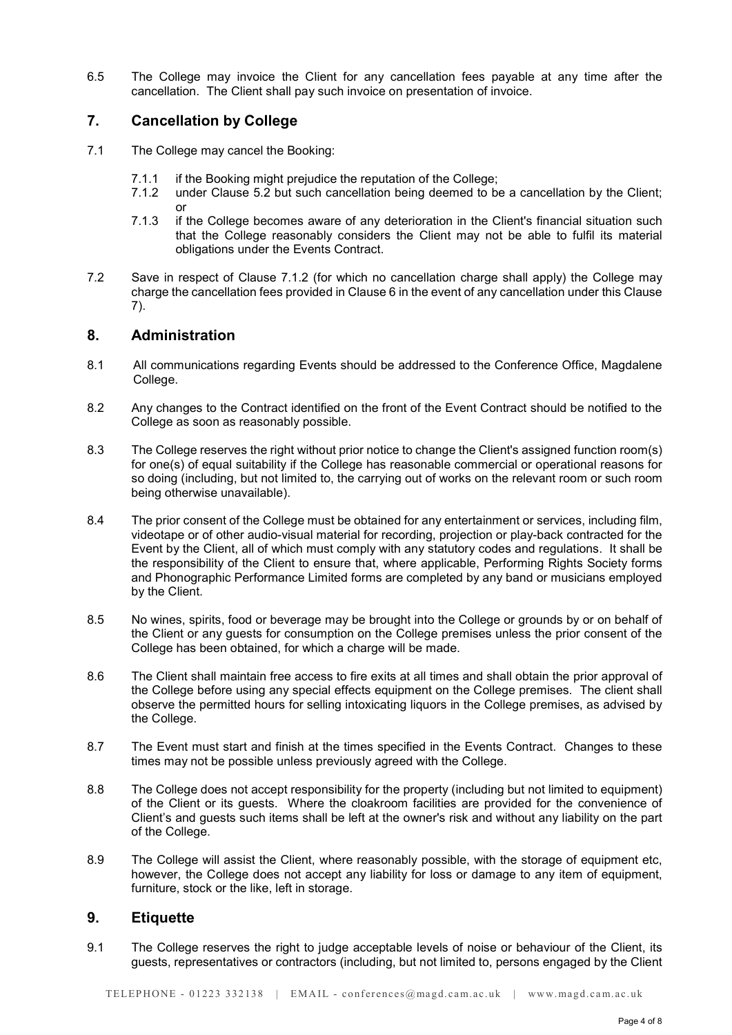6.5 The College may invoice the Client for any cancellation fees payable at any time after the cancellation. The Client shall pay such invoice on presentation of invoice.

## 7. Cancellation by College

- 7.1 The College may cancel the Booking:
	- 7.1.1 if the Booking might prejudice the reputation of the College;
	- 7.1.2 under Clause 5.2 but such cancellation being deemed to be a cancellation by the Client; or
	- 7.1.3 if the College becomes aware of any deterioration in the Client's financial situation such that the College reasonably considers the Client may not be able to fulfil its material obligations under the Events Contract.
- 7.2 Save in respect of Clause 7.1.2 (for which no cancellation charge shall apply) the College may charge the cancellation fees provided in Clause 6 in the event of any cancellation under this Clause 7).

## 8. Administration

- 8.1 All communications regarding Events should be addressed to the Conference Office, Magdalene College.
- 8.2 Any changes to the Contract identified on the front of the Event Contract should be notified to the College as soon as reasonably possible.
- 8.3 The College reserves the right without prior notice to change the Client's assigned function room(s) for one(s) of equal suitability if the College has reasonable commercial or operational reasons for so doing (including, but not limited to, the carrying out of works on the relevant room or such room being otherwise unavailable).
- 8.4 The prior consent of the College must be obtained for any entertainment or services, including film, videotape or of other audio-visual material for recording, projection or play-back contracted for the Event by the Client, all of which must comply with any statutory codes and regulations. It shall be the responsibility of the Client to ensure that, where applicable, Performing Rights Society forms and Phonographic Performance Limited forms are completed by any band or musicians employed by the Client.
- 8.5 No wines, spirits, food or beverage may be brought into the College or grounds by or on behalf of the Client or any guests for consumption on the College premises unless the prior consent of the College has been obtained, for which a charge will be made.
- 8.6 The Client shall maintain free access to fire exits at all times and shall obtain the prior approval of the College before using any special effects equipment on the College premises. The client shall observe the permitted hours for selling intoxicating liquors in the College premises, as advised by the College.
- 8.7 The Event must start and finish at the times specified in the Events Contract. Changes to these times may not be possible unless previously agreed with the College.
- 8.8 The College does not accept responsibility for the property (including but not limited to equipment) of the Client or its guests. Where the cloakroom facilities are provided for the convenience of Client's and guests such items shall be left at the owner's risk and without any liability on the part of the College.
- 8.9 The College will assist the Client, where reasonably possible, with the storage of equipment etc, however, the College does not accept any liability for loss or damage to any item of equipment, furniture, stock or the like, left in storage.

## 9. Etiquette

9.1 The College reserves the right to judge acceptable levels of noise or behaviour of the Client, its guests, representatives or contractors (including, but not limited to, persons engaged by the Client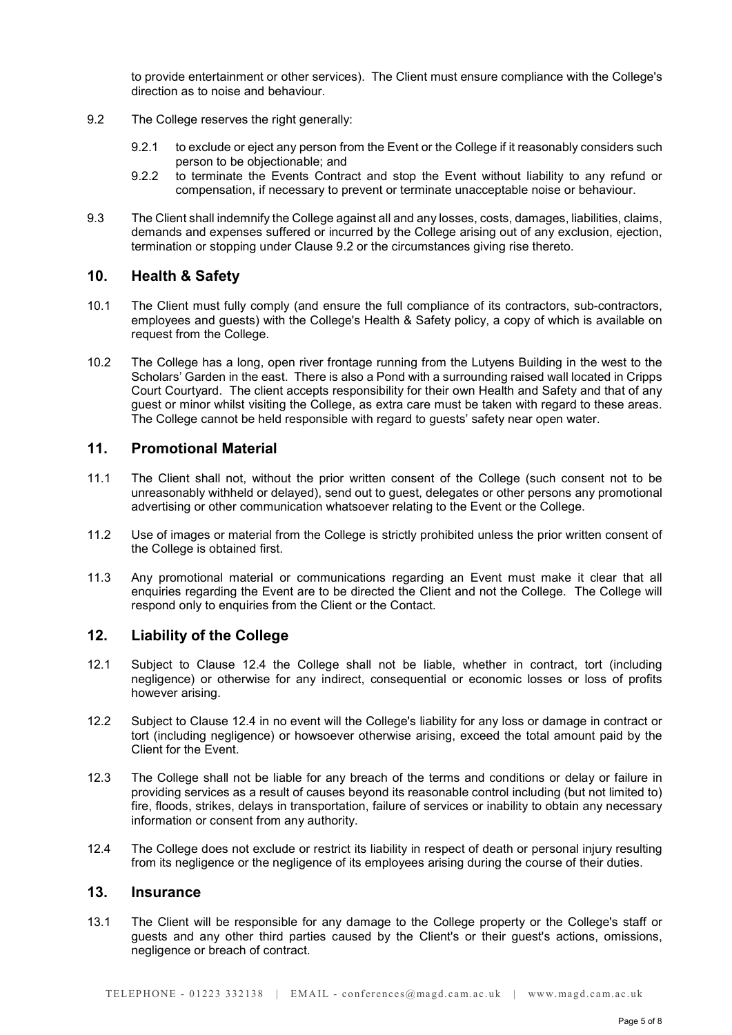to provide entertainment or other services). The Client must ensure compliance with the College's direction as to noise and behaviour.

- 9.2 The College reserves the right generally:
	- 9.2.1 to exclude or eject any person from the Event or the College if it reasonably considers such person to be objectionable; and
	- 9.2.2 to terminate the Events Contract and stop the Event without liability to any refund or compensation, if necessary to prevent or terminate unacceptable noise or behaviour.
- 9.3 The Client shall indemnify the College against all and any losses, costs, damages, liabilities, claims, demands and expenses suffered or incurred by the College arising out of any exclusion, ejection, termination or stopping under Clause 9.2 or the circumstances giving rise thereto.

## 10. Health & Safety

- 10.1 The Client must fully comply (and ensure the full compliance of its contractors, sub-contractors, employees and guests) with the College's Health & Safety policy, a copy of which is available on request from the College.
- 10.2 The College has a long, open river frontage running from the Lutyens Building in the west to the Scholars' Garden in the east. There is also a Pond with a surrounding raised wall located in Cripps Court Courtyard. The client accepts responsibility for their own Health and Safety and that of any guest or minor whilst visiting the College, as extra care must be taken with regard to these areas. The College cannot be held responsible with regard to guests' safety near open water.

## 11. Promotional Material

- 11.1 The Client shall not, without the prior written consent of the College (such consent not to be unreasonably withheld or delayed), send out to guest, delegates or other persons any promotional advertising or other communication whatsoever relating to the Event or the College.
- 11.2 Use of images or material from the College is strictly prohibited unless the prior written consent of the College is obtained first.
- 11.3 Any promotional material or communications regarding an Event must make it clear that all enquiries regarding the Event are to be directed the Client and not the College. The College will respond only to enquiries from the Client or the Contact.

## 12. Liability of the College

- 12.1 Subject to Clause 12.4 the College shall not be liable, whether in contract, tort (including negligence) or otherwise for any indirect, consequential or economic losses or loss of profits however arising.
- 12.2 Subject to Clause 12.4 in no event will the College's liability for any loss or damage in contract or tort (including negligence) or howsoever otherwise arising, exceed the total amount paid by the Client for the Event.
- 12.3 The College shall not be liable for any breach of the terms and conditions or delay or failure in providing services as a result of causes beyond its reasonable control including (but not limited to) fire, floods, strikes, delays in transportation, failure of services or inability to obtain any necessary information or consent from any authority.
- 12.4 The College does not exclude or restrict its liability in respect of death or personal injury resulting from its negligence or the negligence of its employees arising during the course of their duties.

## 13. Insurance

13.1 The Client will be responsible for any damage to the College property or the College's staff or guests and any other third parties caused by the Client's or their guest's actions, omissions, negligence or breach of contract.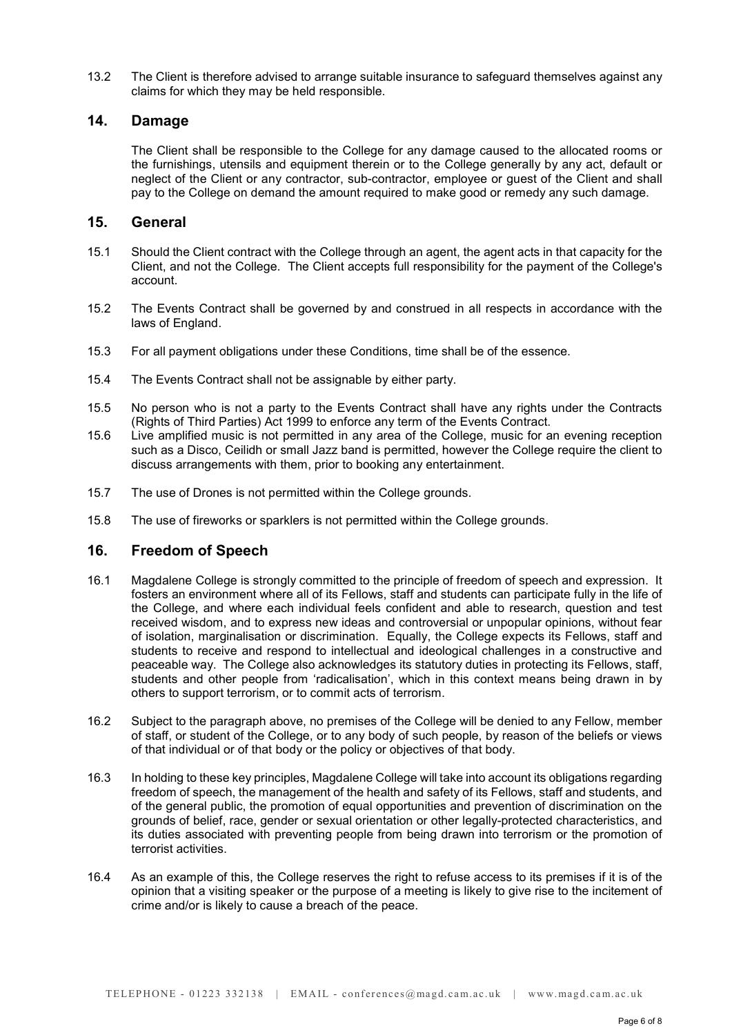13.2 The Client is therefore advised to arrange suitable insurance to safeguard themselves against any claims for which they may be held responsible.

## 14. Damage

 The Client shall be responsible to the College for any damage caused to the allocated rooms or the furnishings, utensils and equipment therein or to the College generally by any act, default or neglect of the Client or any contractor, sub-contractor, employee or guest of the Client and shall pay to the College on demand the amount required to make good or remedy any such damage.

### 15. General

- 15.1 Should the Client contract with the College through an agent, the agent acts in that capacity for the Client, and not the College. The Client accepts full responsibility for the payment of the College's account.
- 15.2 The Events Contract shall be governed by and construed in all respects in accordance with the laws of England.
- 15.3 For all payment obligations under these Conditions, time shall be of the essence.
- 15.4 The Events Contract shall not be assignable by either party.
- 15.5 No person who is not a party to the Events Contract shall have any rights under the Contracts (Rights of Third Parties) Act 1999 to enforce any term of the Events Contract.
- 15.6 Live amplified music is not permitted in any area of the College, music for an evening reception such as a Disco, Ceilidh or small Jazz band is permitted, however the College require the client to discuss arrangements with them, prior to booking any entertainment.
- 15.7 The use of Drones is not permitted within the College grounds.
- 15.8 The use of fireworks or sparklers is not permitted within the College grounds.

## 16. Freedom of Speech

- 16.1 Magdalene College is strongly committed to the principle of freedom of speech and expression. It fosters an environment where all of its Fellows, staff and students can participate fully in the life of the College, and where each individual feels confident and able to research, question and test received wisdom, and to express new ideas and controversial or unpopular opinions, without fear of isolation, marginalisation or discrimination. Equally, the College expects its Fellows, staff and students to receive and respond to intellectual and ideological challenges in a constructive and peaceable way. The College also acknowledges its statutory duties in protecting its Fellows, staff, students and other people from 'radicalisation', which in this context means being drawn in by others to support terrorism, or to commit acts of terrorism.
- 16.2 Subject to the paragraph above, no premises of the College will be denied to any Fellow, member of staff, or student of the College, or to any body of such people, by reason of the beliefs or views of that individual or of that body or the policy or objectives of that body.
- 16.3 In holding to these key principles, Magdalene College will take into account its obligations regarding freedom of speech, the management of the health and safety of its Fellows, staff and students, and of the general public, the promotion of equal opportunities and prevention of discrimination on the grounds of belief, race, gender or sexual orientation or other legally-protected characteristics, and its duties associated with preventing people from being drawn into terrorism or the promotion of terrorist activities.
- 16.4 As an example of this, the College reserves the right to refuse access to its premises if it is of the opinion that a visiting speaker or the purpose of a meeting is likely to give rise to the incitement of crime and/or is likely to cause a breach of the peace.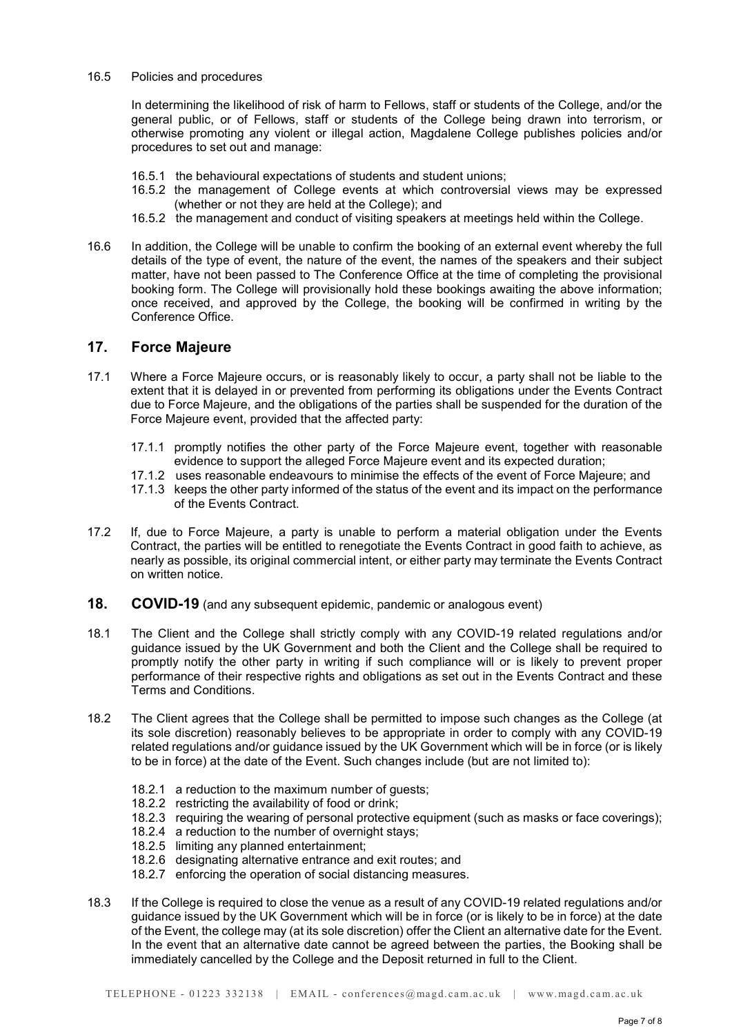#### 16.5 Policies and procedures

In determining the likelihood of risk of harm to Fellows, staff or students of the College, and/or the general public, or of Fellows, staff or students of the College being drawn into terrorism, or otherwise promoting any violent or illegal action, Magdalene College publishes policies and/or procedures to set out and manage:

- 16.5.1 the behavioural expectations of students and student unions;
- 16.5.2 the management of College events at which controversial views may be expressed (whether or not they are held at the College); and
- 16.5.2 the management and conduct of visiting speakers at meetings held within the College.
- 16.6 In addition, the College will be unable to confirm the booking of an external event whereby the full details of the type of event, the nature of the event, the names of the speakers and their subject matter, have not been passed to The Conference Office at the time of completing the provisional booking form. The College will provisionally hold these bookings awaiting the above information; once received, and approved by the College, the booking will be confirmed in writing by the Conference Office.

### 17. Force Majeure

- 17.1 Where a Force Majeure occurs, or is reasonably likely to occur, a party shall not be liable to the extent that it is delayed in or prevented from performing its obligations under the Events Contract due to Force Majeure, and the obligations of the parties shall be suspended for the duration of the Force Majeure event, provided that the affected party:
	- 17.1.1 promptly notifies the other party of the Force Majeure event, together with reasonable evidence to support the alleged Force Majeure event and its expected duration;
	- 17.1.2 uses reasonable endeavours to minimise the effects of the event of Force Majeure; and
	- 17.1.3 keeps the other party informed of the status of the event and its impact on the performance of the Events Contract.
- 17.2 If, due to Force Majeure, a party is unable to perform a material obligation under the Events Contract, the parties will be entitled to renegotiate the Events Contract in good faith to achieve, as nearly as possible, its original commercial intent, or either party may terminate the Events Contract on written notice.
- 18. COVID-19 (and any subsequent epidemic, pandemic or analogous event)
- 18.1 The Client and the College shall strictly comply with any COVID-19 related regulations and/or guidance issued by the UK Government and both the Client and the College shall be required to promptly notify the other party in writing if such compliance will or is likely to prevent proper performance of their respective rights and obligations as set out in the Events Contract and these Terms and Conditions.
- 18.2 The Client agrees that the College shall be permitted to impose such changes as the College (at its sole discretion) reasonably believes to be appropriate in order to comply with any COVID-19 related regulations and/or guidance issued by the UK Government which will be in force (or is likely to be in force) at the date of the Event. Such changes include (but are not limited to):
	- 18.2.1 a reduction to the maximum number of guests;
	- 18.2.2 restricting the availability of food or drink;
	- 18.2.3 requiring the wearing of personal protective equipment (such as masks or face coverings);
	- 18.2.4 a reduction to the number of overnight stays;
	- 18.2.5 limiting any planned entertainment;
	- 18.2.6 designating alternative entrance and exit routes; and
	- 18.2.7 enforcing the operation of social distancing measures.
- 18.3 If the College is required to close the venue as a result of any COVID-19 related regulations and/or guidance issued by the UK Government which will be in force (or is likely to be in force) at the date of the Event, the college may (at its sole discretion) offer the Client an alternative date for the Event. In the event that an alternative date cannot be agreed between the parties, the Booking shall be immediately cancelled by the College and the Deposit returned in full to the Client.